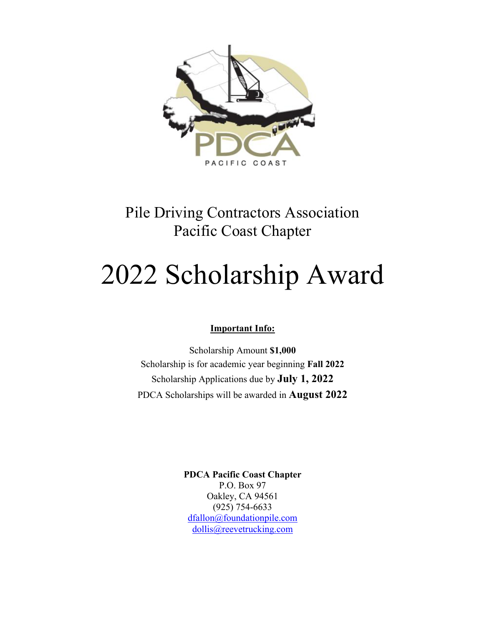

# Pile Driving Contractors Association Pacific Coast Chapter

# 2022 Scholarship Award

### **Important Info:**

Scholarship Amount **\$1,000** Scholarship is for academic year beginning **Fall 2022** Scholarship Applications due by **July 1, 2022** PDCA Scholarships will be awarded in **August 2022**

> **PDCA Pacific Coast Chapter** P.O. Box 97 Oakley, CA 94561 (925) 754-6633 dfallon@foundationpile.com dollis@reevetrucking.com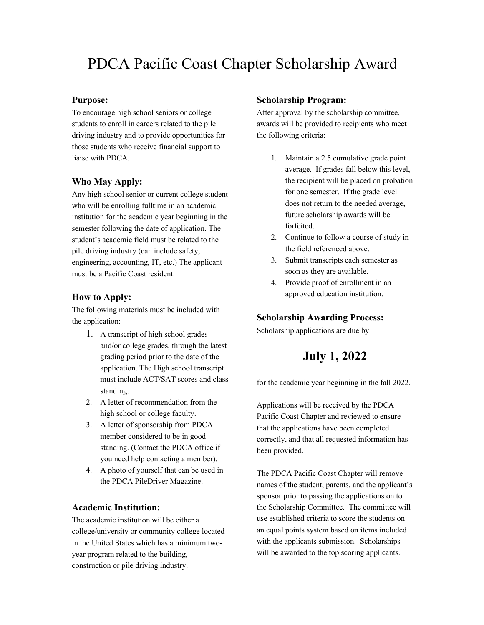## PDCA Pacific Coast Chapter Scholarship Award

#### **Purpose:**

To encourage high school seniors or college students to enroll in careers related to the pile driving industry and to provide opportunities for those students who receive financial support to liaise with PDCA.

#### **Who May Apply:**

Any high school senior or current college student who will be enrolling fulltime in an academic institution for the academic year beginning in the semester following the date of application. The student's academic field must be related to the pile driving industry (can include safety, engineering, accounting, IT, etc.) The applicant must be a Pacific Coast resident.

#### **How to Apply:**

The following materials must be included with the application:

- 1. A transcript of high school grades and/or college grades, through the latest grading period prior to the date of the application. The High school transcript must include ACT/SAT scores and class standing.
- 2. A letter of recommendation from the high school or college faculty.
- 3. A letter of sponsorship from PDCA member considered to be in good standing. (Contact the PDCA office if you need help contacting a member).
- 4. A photo of yourself that can be used in the PDCA PileDriver Magazine.

#### **Academic Institution:**

The academic institution will be either a college/university or community college located in the United States which has a minimum twoyear program related to the building, construction or pile driving industry.

#### **Scholarship Program:**

After approval by the scholarship committee, awards will be provided to recipients who meet the following criteria:

- 1. Maintain a 2.5 cumulative grade point average. If grades fall below this level, the recipient will be placed on probation for one semester. If the grade level does not return to the needed average, future scholarship awards will be forfeited.
- 2. Continue to follow a course of study in the field referenced above.
- 3. Submit transcripts each semester as soon as they are available.
- 4. Provide proof of enrollment in an approved education institution.

#### **Scholarship Awarding Process:**

Scholarship applications are due by

### **July 1, 2022**

for the academic year beginning in the fall 2022.

Applications will be received by the PDCA Pacific Coast Chapter and reviewed to ensure that the applications have been completed correctly, and that all requested information has been provided.

The PDCA Pacific Coast Chapter will remove names of the student, parents, and the applicant's sponsor prior to passing the applications on to the Scholarship Committee. The committee will use established criteria to score the students on an equal points system based on items included with the applicants submission. Scholarships will be awarded to the top scoring applicants.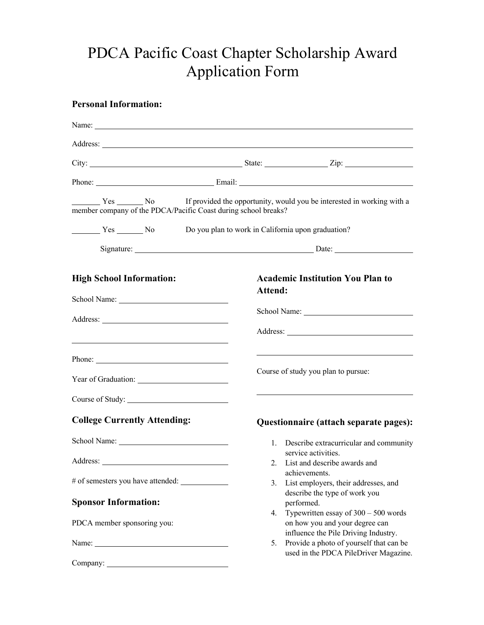# PDCA Pacific Coast Chapter Scholarship Award Application Form

### **Personal Information:**

| Name: $\frac{1}{\sqrt{1-\frac{1}{2}} \cdot \frac{1}{2}}$                                                                                                                                                                       |                                                                                                                                                                                                            |
|--------------------------------------------------------------------------------------------------------------------------------------------------------------------------------------------------------------------------------|------------------------------------------------------------------------------------------------------------------------------------------------------------------------------------------------------------|
|                                                                                                                                                                                                                                |                                                                                                                                                                                                            |
|                                                                                                                                                                                                                                |                                                                                                                                                                                                            |
|                                                                                                                                                                                                                                |                                                                                                                                                                                                            |
| member company of the PDCA/Pacific Coast during school breaks?                                                                                                                                                                 | Yes No If provided the opportunity, would you be interested in working with a                                                                                                                              |
|                                                                                                                                                                                                                                |                                                                                                                                                                                                            |
|                                                                                                                                                                                                                                |                                                                                                                                                                                                            |
| <b>High School Information:</b>                                                                                                                                                                                                | <b>Academic Institution You Plan to</b><br>Attend:                                                                                                                                                         |
| Phone: 2008 Change and 2008 Change and 2008 Change and 2008 Change and 2008 Change and 2008 Change and 2008 Change and 2008 Change and 2008 Change and 2008 Change and 2008 Change and 2008 Change and 2008 Change and 2008 Ch | <u> 1989 - Johann Stein, marwolaethau a bhann an t-Amhair an t-Amhair an t-Amhair an t-Amhair an t-Amhair an t-A</u><br>Course of study you plan to pursue:                                                |
| Course of Study:                                                                                                                                                                                                               |                                                                                                                                                                                                            |
| <b>College Currently Attending:</b>                                                                                                                                                                                            | Questionnaire (attach separate pages):                                                                                                                                                                     |
| School Name:                                                                                                                                                                                                                   | 1. Describe extracurricular and community<br>service activities.<br>2. List and describe awards and<br>achievements.<br>3.                                                                                 |
| <b>Sponsor Information:</b><br>PDCA member sponsoring you:                                                                                                                                                                     | List employers, their addresses, and<br>describe the type of work you<br>performed.<br>4. Typewritten essay of $300 - 500$ words<br>on how you and your degree can<br>influence the Pile Driving Industry. |
| Name:<br>Company:                                                                                                                                                                                                              | Provide a photo of yourself that can be<br>5.<br>used in the PDCA PileDriver Magazine.                                                                                                                     |
|                                                                                                                                                                                                                                |                                                                                                                                                                                                            |